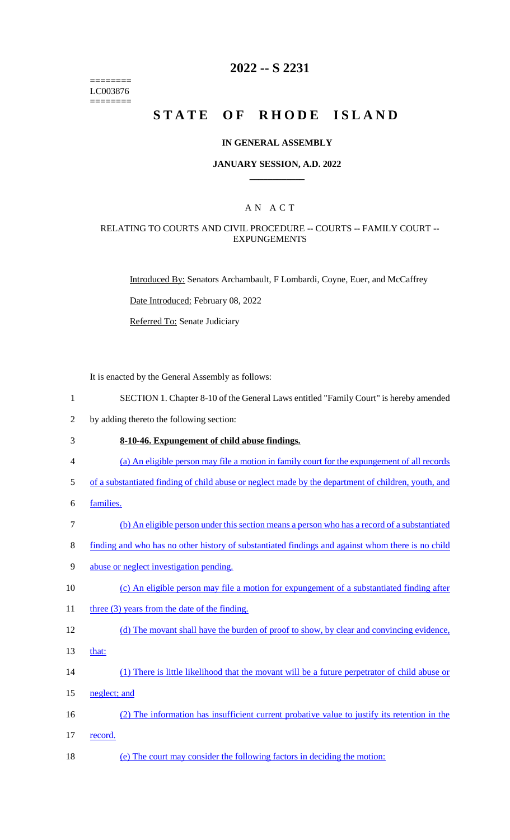======== LC003876 ========

# **2022 -- S 2231**

# **STATE OF RHODE ISLAND**

#### **IN GENERAL ASSEMBLY**

#### **JANUARY SESSION, A.D. 2022 \_\_\_\_\_\_\_\_\_\_\_\_**

## A N A C T

#### RELATING TO COURTS AND CIVIL PROCEDURE -- COURTS -- FAMILY COURT -- EXPUNGEMENTS

Introduced By: Senators Archambault, F Lombardi, Coyne, Euer, and McCaffrey

Date Introduced: February 08, 2022

Referred To: Senate Judiciary

It is enacted by the General Assembly as follows:

- 1 SECTION 1. Chapter 8-10 of the General Laws entitled "Family Court" is hereby amended
- 2 by adding thereto the following section:

#### 3 **8-10-46. Expungement of child abuse findings.**

- 4 (a) An eligible person may file a motion in family court for the expungement of all records
- 5 of a substantiated finding of child abuse or neglect made by the department of children, youth, and
- 6 families.
- 7 (b) An eligible person under this section means a person who has a record of a substantiated
- 8 finding and who has no other history of substantiated findings and against whom there is no child
- 9 abuse or neglect investigation pending.
- 10 (c) An eligible person may file a motion for expungement of a substantiated finding after
- 11 three (3) years from the date of the finding.
- 12 (d) The movant shall have the burden of proof to show, by clear and convincing evidence,
- 13 that:
- 14 (1) There is little likelihood that the movant will be a future perpetrator of child abuse or
- 15 neglect; and
- 16 (2) The information has insufficient current probative value to justify its retention in the 17 record.
- 18 (e) The court may consider the following factors in deciding the motion: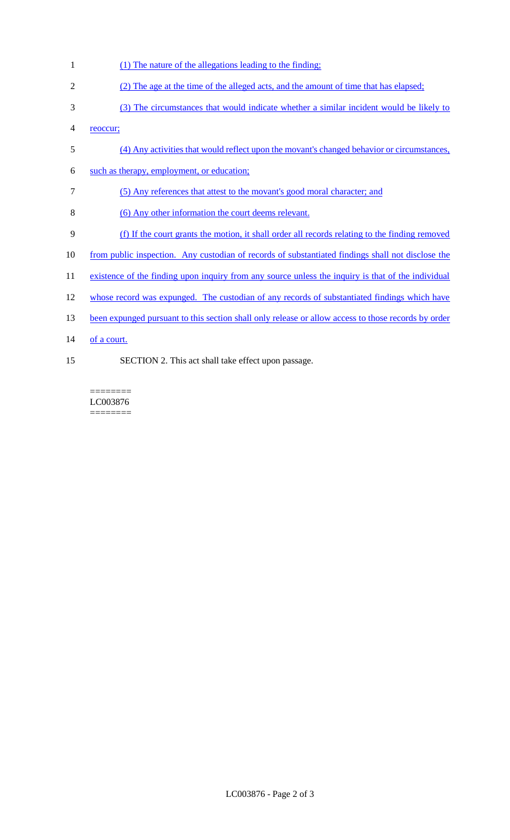- (1) The nature of the allegations leading to the finding;
- (2) The age at the time of the alleged acts, and the amount of time that has elapsed;
- (3) The circumstances that would indicate whether a similar incident would be likely to
- reoccur;
- (4) Any activities that would reflect upon the movant's changed behavior or circumstances,
- such as therapy, employment, or education;
- (5) Any references that attest to the movant's good moral character; and
- (6) Any other information the court deems relevant.
- (f) If the court grants the motion, it shall order all records relating to the finding removed
- from public inspection. Any custodian of records of substantiated findings shall not disclose the
- 11 existence of the finding upon inquiry from any source unless the inquiry is that of the individual
- whose record was expunged. The custodian of any records of substantiated findings which have
- 13 been expunged pursuant to this section shall only release or allow access to those records by order
- 14 of a court.
- SECTION 2. This act shall take effect upon passage.

======== LC003876 ========